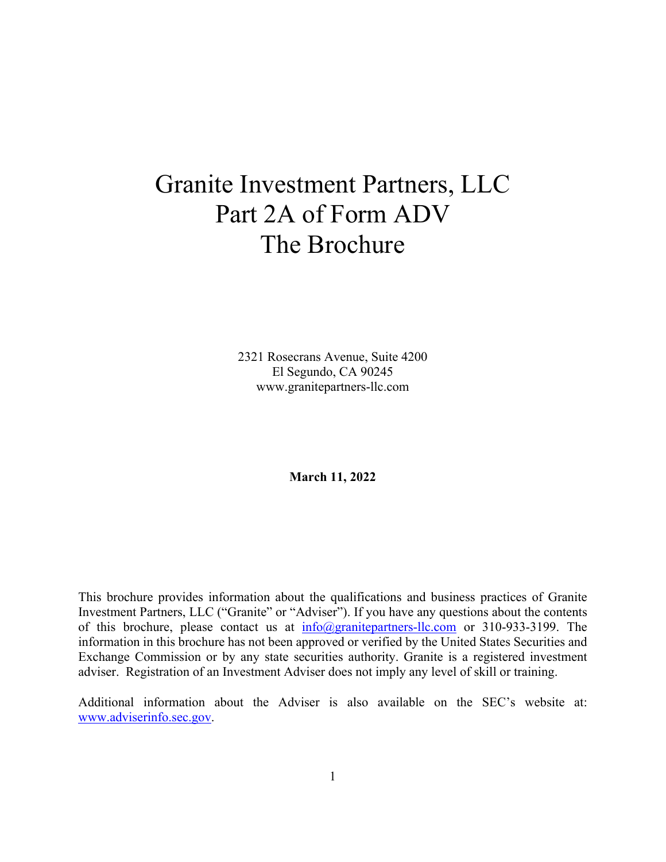# Granite Investment Partners, LLC Part 2A of Form ADV The Brochure

2321 Rosecrans Avenue, Suite 4200 El Segundo, CA 90245 www.granitepartners-llc.com

**March 11, 2022**

This brochure provides information about the qualifications and business practices of Granite Investment Partners, LLC ("Granite" or "Adviser"). If you have any questions about the contents of this brochure, please contact us at info@granitepartners-llc.com or 310-933-3199. The information in this brochure has not been approved or verified by the United States Securities and Exchange Commission or by any state securities authority. Granite is a registered investment adviser. Registration of an Investment Adviser does not imply any level of skill or training.

Additional information about the Adviser is also available on the SEC's website at: www.adviserinfo.sec.gov.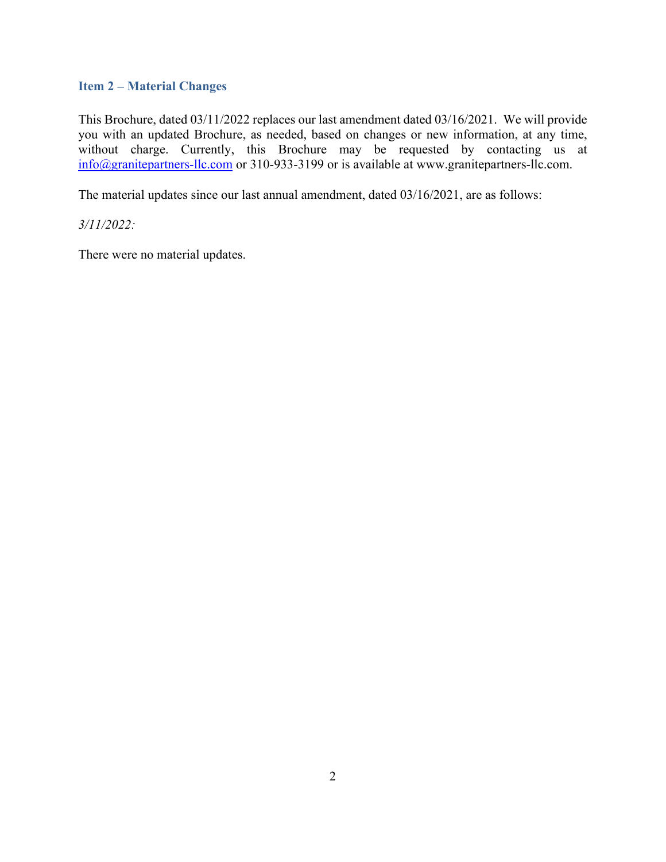## **Item 2 – Material Changes**

This Brochure, dated 03/11/2022 replaces our last amendment dated 03/16/2021. We will provide you with an updated Brochure, as needed, based on changes or new information, at any time, without charge. Currently, this Brochure may be requested by contacting us at info@granitepartners-llc.com or 310-933-3199 or is available at www.granitepartners-llc.com.

The material updates since our last annual amendment, dated 03/16/2021, are as follows:

*3/11/2022:* 

There were no material updates.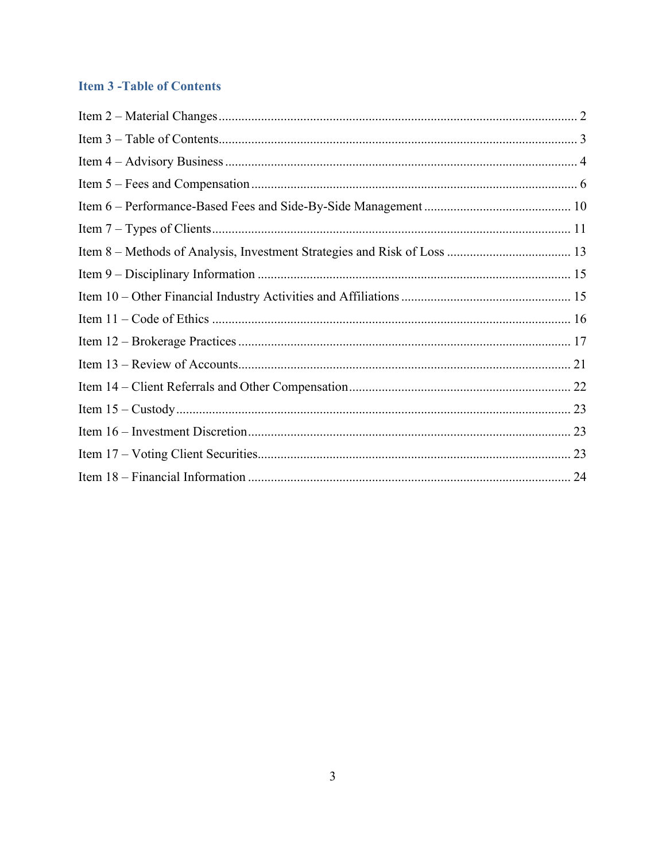# **Item 3 - Table of Contents**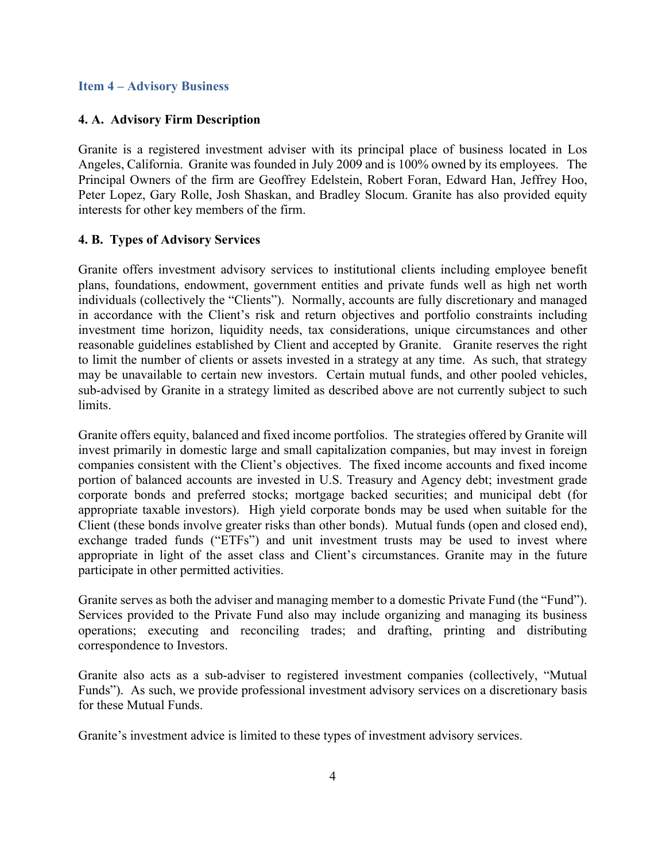#### **Item 4 – Advisory Business**

#### **4. A. Advisory Firm Description**

Granite is a registered investment adviser with its principal place of business located in Los Angeles, California. Granite was founded in July 2009 and is 100% owned by its employees. The Principal Owners of the firm are Geoffrey Edelstein, Robert Foran, Edward Han, Jeffrey Hoo, Peter Lopez, Gary Rolle, Josh Shaskan, and Bradley Slocum. Granite has also provided equity interests for other key members of the firm.

#### **4. B. Types of Advisory Services**

Granite offers investment advisory services to institutional clients including employee benefit plans, foundations, endowment, government entities and private funds well as high net worth individuals (collectively the "Clients"). Normally, accounts are fully discretionary and managed in accordance with the Client's risk and return objectives and portfolio constraints including investment time horizon, liquidity needs, tax considerations, unique circumstances and other reasonable guidelines established by Client and accepted by Granite. Granite reserves the right to limit the number of clients or assets invested in a strategy at any time. As such, that strategy may be unavailable to certain new investors. Certain mutual funds, and other pooled vehicles, sub-advised by Granite in a strategy limited as described above are not currently subject to such limits.

Granite offers equity, balanced and fixed income portfolios. The strategies offered by Granite will invest primarily in domestic large and small capitalization companies, but may invest in foreign companies consistent with the Client's objectives. The fixed income accounts and fixed income portion of balanced accounts are invested in U.S. Treasury and Agency debt; investment grade corporate bonds and preferred stocks; mortgage backed securities; and municipal debt (for appropriate taxable investors). High yield corporate bonds may be used when suitable for the Client (these bonds involve greater risks than other bonds). Mutual funds (open and closed end), exchange traded funds ("ETFs") and unit investment trusts may be used to invest where appropriate in light of the asset class and Client's circumstances. Granite may in the future participate in other permitted activities.

Granite serves as both the adviser and managing member to a domestic Private Fund (the "Fund"). Services provided to the Private Fund also may include organizing and managing its business operations; executing and reconciling trades; and drafting, printing and distributing correspondence to Investors.

Granite also acts as a sub-adviser to registered investment companies (collectively, "Mutual Funds"). As such, we provide professional investment advisory services on a discretionary basis for these Mutual Funds.

Granite's investment advice is limited to these types of investment advisory services.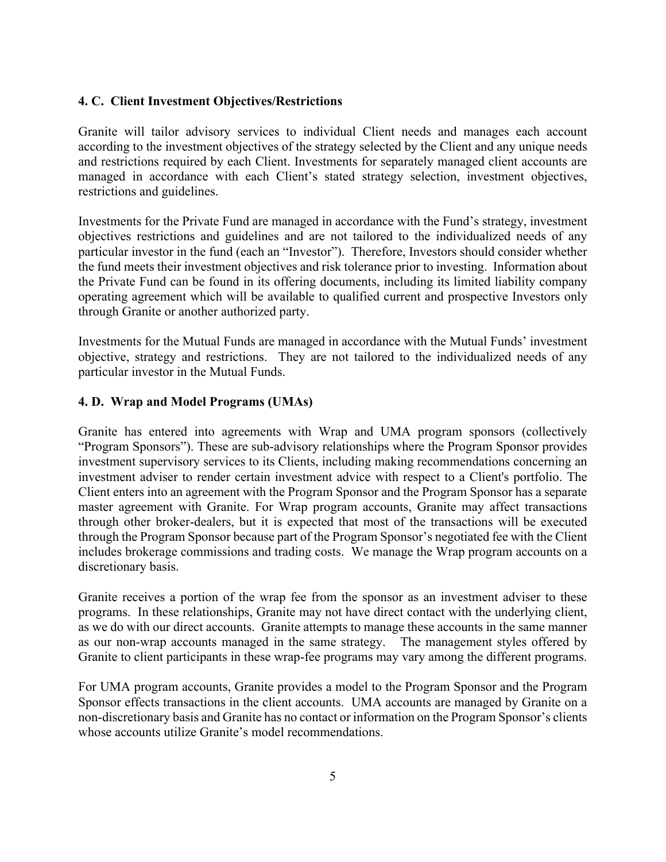## **4. C. Client Investment Objectives/Restrictions**

Granite will tailor advisory services to individual Client needs and manages each account according to the investment objectives of the strategy selected by the Client and any unique needs and restrictions required by each Client. Investments for separately managed client accounts are managed in accordance with each Client's stated strategy selection, investment objectives, restrictions and guidelines.

Investments for the Private Fund are managed in accordance with the Fund's strategy, investment objectives restrictions and guidelines and are not tailored to the individualized needs of any particular investor in the fund (each an "Investor"). Therefore, Investors should consider whether the fund meets their investment objectives and risk tolerance prior to investing. Information about the Private Fund can be found in its offering documents, including its limited liability company operating agreement which will be available to qualified current and prospective Investors only through Granite or another authorized party.

Investments for the Mutual Funds are managed in accordance with the Mutual Funds' investment objective, strategy and restrictions. They are not tailored to the individualized needs of any particular investor in the Mutual Funds.

## **4. D. Wrap and Model Programs (UMAs)**

Granite has entered into agreements with Wrap and UMA program sponsors (collectively "Program Sponsors"). These are sub-advisory relationships where the Program Sponsor provides investment supervisory services to its Clients, including making recommendations concerning an investment adviser to render certain investment advice with respect to a Client's portfolio. The Client enters into an agreement with the Program Sponsor and the Program Sponsor has a separate master agreement with Granite. For Wrap program accounts, Granite may affect transactions through other broker-dealers, but it is expected that most of the transactions will be executed through the Program Sponsor because part of the Program Sponsor's negotiated fee with the Client includes brokerage commissions and trading costs. We manage the Wrap program accounts on a discretionary basis.

Granite receives a portion of the wrap fee from the sponsor as an investment adviser to these programs. In these relationships, Granite may not have direct contact with the underlying client, as we do with our direct accounts. Granite attempts to manage these accounts in the same manner as our non-wrap accounts managed in the same strategy. The management styles offered by Granite to client participants in these wrap-fee programs may vary among the different programs.

For UMA program accounts, Granite provides a model to the Program Sponsor and the Program Sponsor effects transactions in the client accounts. UMA accounts are managed by Granite on a non-discretionary basis and Granite has no contact or information on the Program Sponsor's clients whose accounts utilize Granite's model recommendations.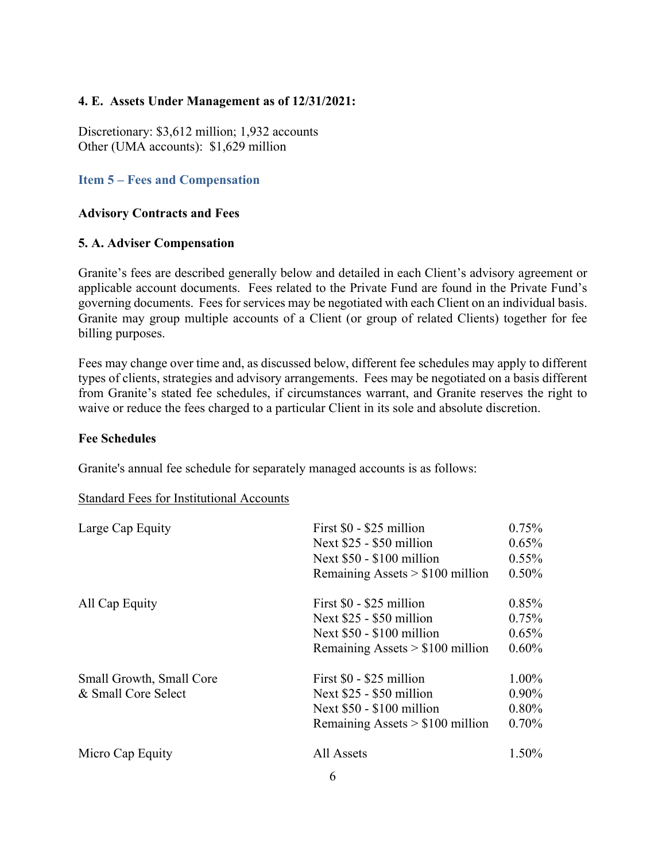# **4. E. Assets Under Management as of 12/31/2021:**

Discretionary: \$3,612 million; 1,932 accounts Other (UMA accounts): \$1,629 million

# **Item 5 – Fees and Compensation**

## **Advisory Contracts and Fees**

## **5. A. Adviser Compensation**

Granite's fees are described generally below and detailed in each Client's advisory agreement or applicable account documents. Fees related to the Private Fund are found in the Private Fund's governing documents. Fees for services may be negotiated with each Client on an individual basis. Granite may group multiple accounts of a Client (or group of related Clients) together for fee billing purposes.

Fees may change over time and, as discussed below, different fee schedules may apply to different types of clients, strategies and advisory arrangements. Fees may be negotiated on a basis different from Granite's stated fee schedules, if circumstances warrant, and Granite reserves the right to waive or reduce the fees charged to a particular Client in its sole and absolute discretion.

## **Fee Schedules**

Granite's annual fee schedule for separately managed accounts is as follows:

## Standard Fees for Institutional Accounts

| Large Cap Equity                                | First \$0 - \$25 million<br>Next \$25 - \$50 million<br>Next $$50 - $100$ million<br>Remaining Assets $> $100$ million | 0.75%<br>0.65%<br>$0.55\%$<br>$0.50\%$ |
|-------------------------------------------------|------------------------------------------------------------------------------------------------------------------------|----------------------------------------|
| All Cap Equity                                  | First \$0 - \$25 million<br>Next \$25 - \$50 million<br>Next $$50 - $100$ million<br>Remaining Assets $> $100$ million | 0.85%<br>0.75%<br>$0.65\%$<br>$0.60\%$ |
| Small Growth, Small Core<br>& Small Core Select | First \$0 - \$25 million<br>Next \$25 - \$50 million<br>Next $$50 - $100$ million<br>Remaining Assets $> $100$ million | 1.00%<br>$0.90\%$<br>0.80%<br>0.70%    |
| Micro Cap Equity                                | All Assets                                                                                                             | $1.50\%$                               |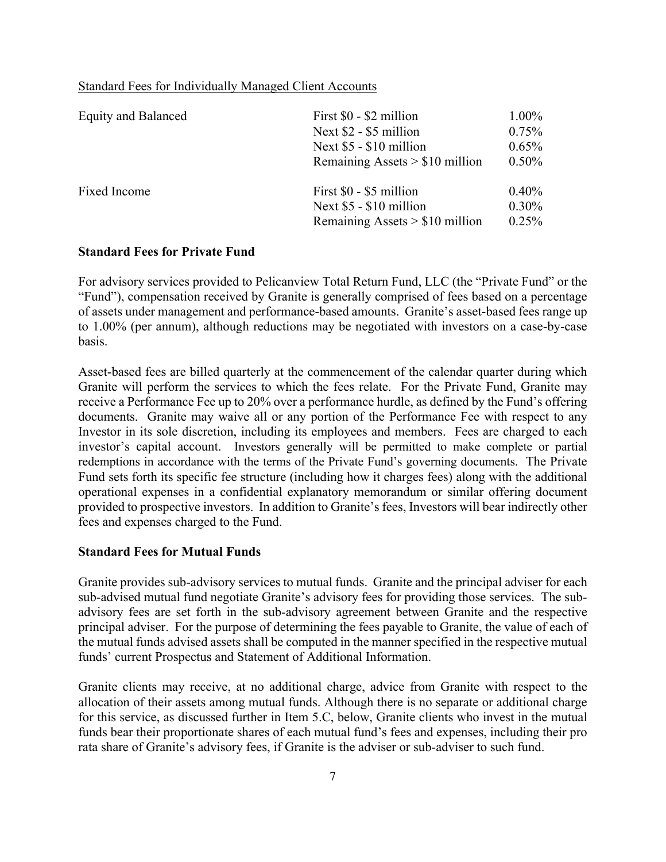#### Standard Fees for Individually Managed Client Accounts

| <b>Equity and Balanced</b> | First \$0 - \$2 million<br>Next \$2 - \$5 million<br>Next \$5 - \$10 million<br>Remaining Assets $> $10$ million | $1.00\%$<br>$0.75\%$<br>$0.65\%$<br>$0.50\%$ |
|----------------------------|------------------------------------------------------------------------------------------------------------------|----------------------------------------------|
| Fixed Income               | First \$0 - \$5 million<br>Next \$5 - \$10 million<br>Remaining Assets $> $10$ million                           | $0.40\%$<br>$0.30\%$<br>$0.25\%$             |

#### **Standard Fees for Private Fund**

For advisory services provided to Pelicanview Total Return Fund, LLC (the "Private Fund" or the "Fund"), compensation received by Granite is generally comprised of fees based on a percentage of assets under management and performance-based amounts. Granite's asset-based fees range up to 1.00% (per annum), although reductions may be negotiated with investors on a case-by-case basis.

Asset-based fees are billed quarterly at the commencement of the calendar quarter during which Granite will perform the services to which the fees relate. For the Private Fund, Granite may receive a Performance Fee up to 20% over a performance hurdle, as defined by the Fund's offering documents. Granite may waive all or any portion of the Performance Fee with respect to any Investor in its sole discretion, including its employees and members. Fees are charged to each investor's capital account. Investors generally will be permitted to make complete or partial redemptions in accordance with the terms of the Private Fund's governing documents. The Private Fund sets forth its specific fee structure (including how it charges fees) along with the additional operational expenses in a confidential explanatory memorandum or similar offering document provided to prospective investors. In addition to Granite's fees, Investors will bear indirectly other fees and expenses charged to the Fund.

#### **Standard Fees for Mutual Funds**

Granite provides sub-advisory services to mutual funds. Granite and the principal adviser for each sub-advised mutual fund negotiate Granite's advisory fees for providing those services. The subadvisory fees are set forth in the sub-advisory agreement between Granite and the respective principal adviser. For the purpose of determining the fees payable to Granite, the value of each of the mutual funds advised assets shall be computed in the manner specified in the respective mutual funds' current Prospectus and Statement of Additional Information.

Granite clients may receive, at no additional charge, advice from Granite with respect to the allocation of their assets among mutual funds. Although there is no separate or additional charge for this service, as discussed further in Item 5.C, below, Granite clients who invest in the mutual funds bear their proportionate shares of each mutual fund's fees and expenses, including their pro rata share of Granite's advisory fees, if Granite is the adviser or sub-adviser to such fund.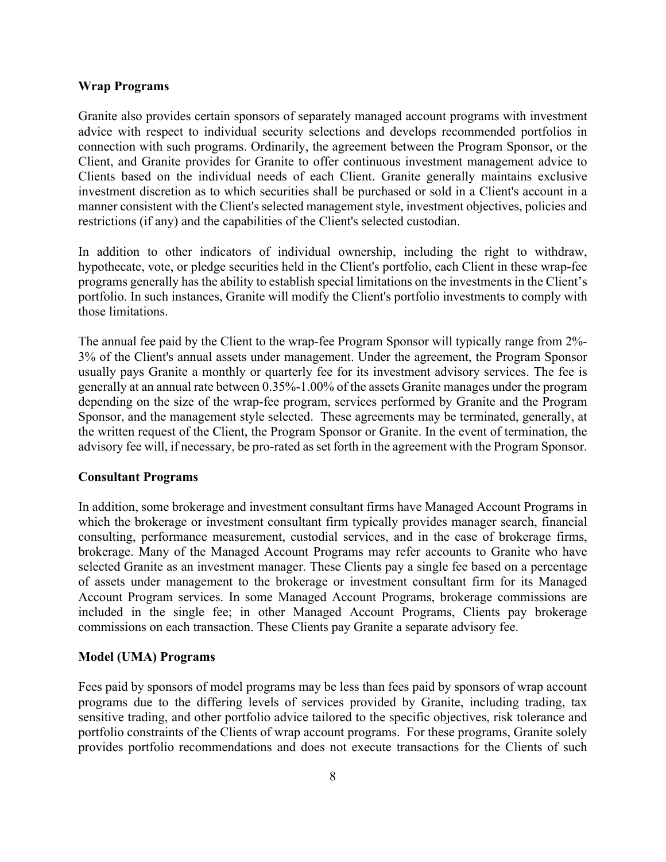#### **Wrap Programs**

Granite also provides certain sponsors of separately managed account programs with investment advice with respect to individual security selections and develops recommended portfolios in connection with such programs. Ordinarily, the agreement between the Program Sponsor, or the Client, and Granite provides for Granite to offer continuous investment management advice to Clients based on the individual needs of each Client. Granite generally maintains exclusive investment discretion as to which securities shall be purchased or sold in a Client's account in a manner consistent with the Client's selected management style, investment objectives, policies and restrictions (if any) and the capabilities of the Client's selected custodian.

In addition to other indicators of individual ownership, including the right to withdraw, hypothecate, vote, or pledge securities held in the Client's portfolio, each Client in these wrap-fee programs generally has the ability to establish special limitations on the investments in the Client's portfolio. In such instances, Granite will modify the Client's portfolio investments to comply with those limitations.

The annual fee paid by the Client to the wrap-fee Program Sponsor will typically range from 2%- 3% of the Client's annual assets under management. Under the agreement, the Program Sponsor usually pays Granite a monthly or quarterly fee for its investment advisory services. The fee is generally at an annual rate between 0.35%-1.00% of the assets Granite manages under the program depending on the size of the wrap-fee program, services performed by Granite and the Program Sponsor, and the management style selected. These agreements may be terminated, generally, at the written request of the Client, the Program Sponsor or Granite. In the event of termination, the advisory fee will, if necessary, be pro-rated as set forth in the agreement with the Program Sponsor.

#### **Consultant Programs**

In addition, some brokerage and investment consultant firms have Managed Account Programs in which the brokerage or investment consultant firm typically provides manager search, financial consulting, performance measurement, custodial services, and in the case of brokerage firms, brokerage. Many of the Managed Account Programs may refer accounts to Granite who have selected Granite as an investment manager. These Clients pay a single fee based on a percentage of assets under management to the brokerage or investment consultant firm for its Managed Account Program services. In some Managed Account Programs, brokerage commissions are included in the single fee; in other Managed Account Programs, Clients pay brokerage commissions on each transaction. These Clients pay Granite a separate advisory fee.

#### **Model (UMA) Programs**

Fees paid by sponsors of model programs may be less than fees paid by sponsors of wrap account programs due to the differing levels of services provided by Granite, including trading, tax sensitive trading, and other portfolio advice tailored to the specific objectives, risk tolerance and portfolio constraints of the Clients of wrap account programs. For these programs, Granite solely provides portfolio recommendations and does not execute transactions for the Clients of such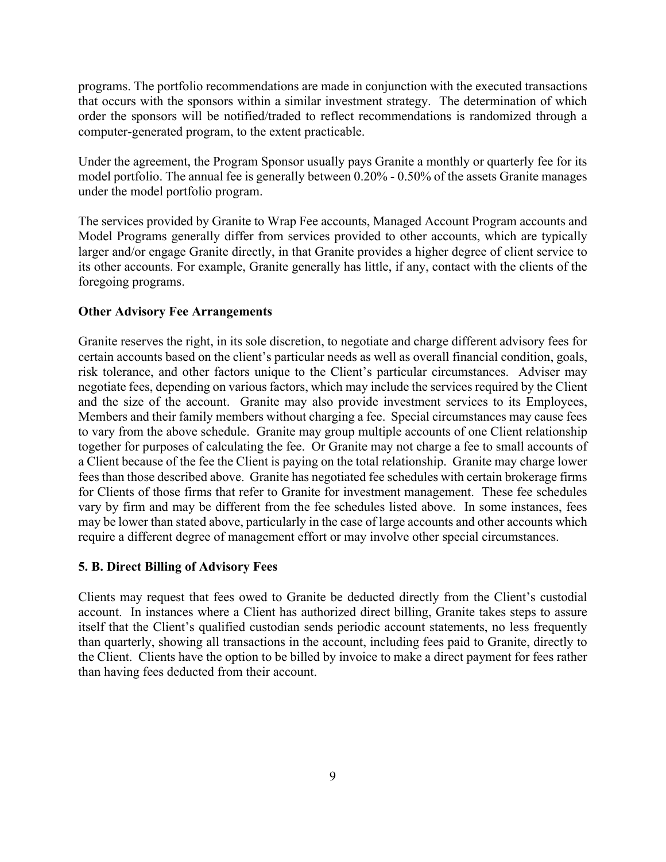programs. The portfolio recommendations are made in conjunction with the executed transactions that occurs with the sponsors within a similar investment strategy. The determination of which order the sponsors will be notified/traded to reflect recommendations is randomized through a computer-generated program, to the extent practicable.

Under the agreement, the Program Sponsor usually pays Granite a monthly or quarterly fee for its model portfolio. The annual fee is generally between 0.20% - 0.50% of the assets Granite manages under the model portfolio program.

The services provided by Granite to Wrap Fee accounts, Managed Account Program accounts and Model Programs generally differ from services provided to other accounts, which are typically larger and/or engage Granite directly, in that Granite provides a higher degree of client service to its other accounts. For example, Granite generally has little, if any, contact with the clients of the foregoing programs.

## **Other Advisory Fee Arrangements**

Granite reserves the right, in its sole discretion, to negotiate and charge different advisory fees for certain accounts based on the client's particular needs as well as overall financial condition, goals, risk tolerance, and other factors unique to the Client's particular circumstances. Adviser may negotiate fees, depending on various factors, which may include the services required by the Client and the size of the account. Granite may also provide investment services to its Employees, Members and their family members without charging a fee. Special circumstances may cause fees to vary from the above schedule. Granite may group multiple accounts of one Client relationship together for purposes of calculating the fee. Or Granite may not charge a fee to small accounts of a Client because of the fee the Client is paying on the total relationship. Granite may charge lower fees than those described above. Granite has negotiated fee schedules with certain brokerage firms for Clients of those firms that refer to Granite for investment management. These fee schedules vary by firm and may be different from the fee schedules listed above. In some instances, fees may be lower than stated above, particularly in the case of large accounts and other accounts which require a different degree of management effort or may involve other special circumstances.

#### **5. B. Direct Billing of Advisory Fees**

Clients may request that fees owed to Granite be deducted directly from the Client's custodial account. In instances where a Client has authorized direct billing, Granite takes steps to assure itself that the Client's qualified custodian sends periodic account statements, no less frequently than quarterly, showing all transactions in the account, including fees paid to Granite, directly to the Client. Clients have the option to be billed by invoice to make a direct payment for fees rather than having fees deducted from their account.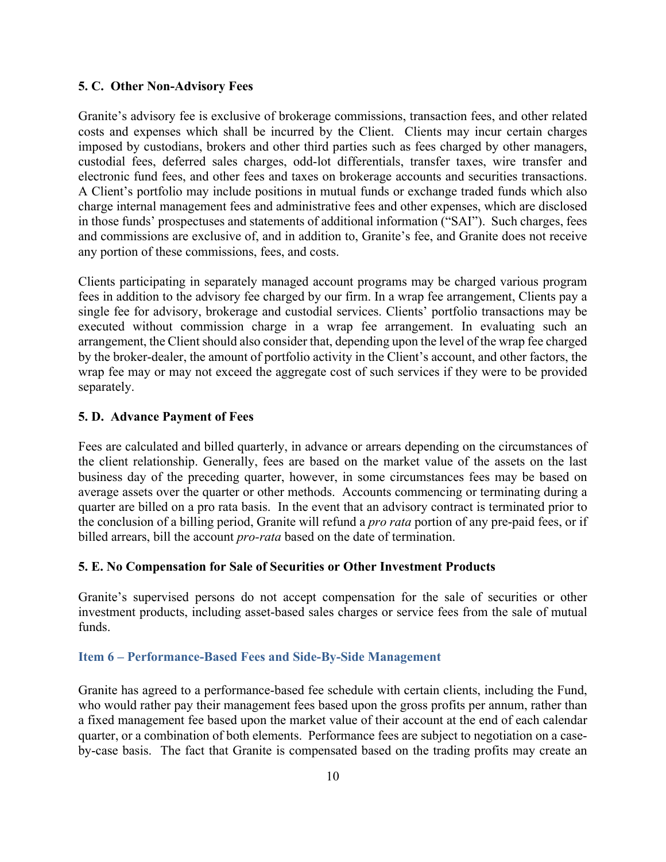#### **5. C. Other Non-Advisory Fees**

Granite's advisory fee is exclusive of brokerage commissions, transaction fees, and other related costs and expenses which shall be incurred by the Client. Clients may incur certain charges imposed by custodians, brokers and other third parties such as fees charged by other managers, custodial fees, deferred sales charges, odd-lot differentials, transfer taxes, wire transfer and electronic fund fees, and other fees and taxes on brokerage accounts and securities transactions. A Client's portfolio may include positions in mutual funds or exchange traded funds which also charge internal management fees and administrative fees and other expenses, which are disclosed in those funds' prospectuses and statements of additional information ("SAI"). Such charges, fees and commissions are exclusive of, and in addition to, Granite's fee, and Granite does not receive any portion of these commissions, fees, and costs.

Clients participating in separately managed account programs may be charged various program fees in addition to the advisory fee charged by our firm. In a wrap fee arrangement, Clients pay a single fee for advisory, brokerage and custodial services. Clients' portfolio transactions may be executed without commission charge in a wrap fee arrangement. In evaluating such an arrangement, the Client should also consider that, depending upon the level of the wrap fee charged by the broker-dealer, the amount of portfolio activity in the Client's account, and other factors, the wrap fee may or may not exceed the aggregate cost of such services if they were to be provided separately.

#### **5. D. Advance Payment of Fees**

Fees are calculated and billed quarterly, in advance or arrears depending on the circumstances of the client relationship. Generally, fees are based on the market value of the assets on the last business day of the preceding quarter, however, in some circumstances fees may be based on average assets over the quarter or other methods. Accounts commencing or terminating during a quarter are billed on a pro rata basis. In the event that an advisory contract is terminated prior to the conclusion of a billing period, Granite will refund a *pro rata* portion of any pre-paid fees, or if billed arrears, bill the account *pro-rata* based on the date of termination.

#### **5. E. No Compensation for Sale of Securities or Other Investment Products**

Granite's supervised persons do not accept compensation for the sale of securities or other investment products, including asset-based sales charges or service fees from the sale of mutual funds.

#### **Item 6 – Performance-Based Fees and Side-By-Side Management**

Granite has agreed to a performance-based fee schedule with certain clients, including the Fund, who would rather pay their management fees based upon the gross profits per annum, rather than a fixed management fee based upon the market value of their account at the end of each calendar quarter, or a combination of both elements. Performance fees are subject to negotiation on a caseby-case basis. The fact that Granite is compensated based on the trading profits may create an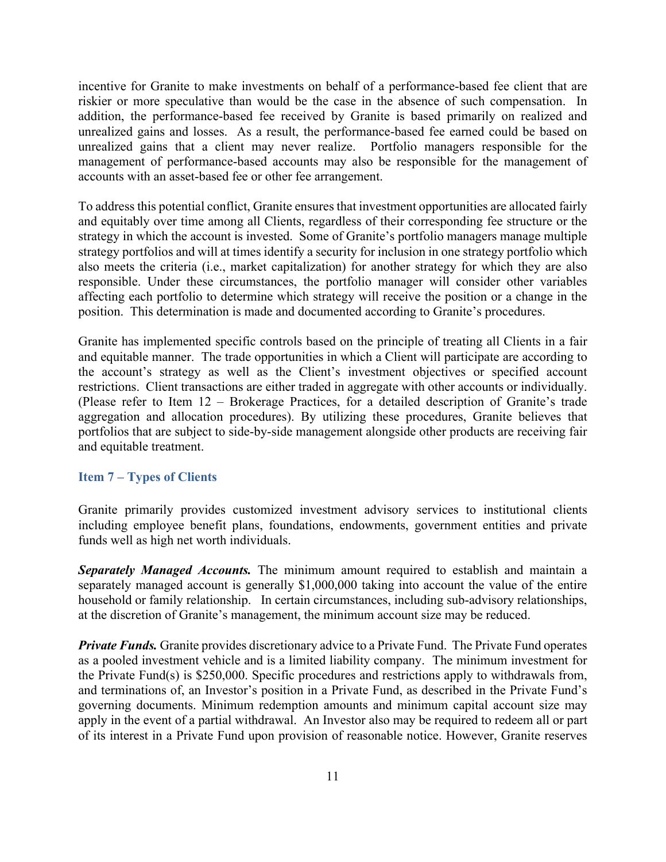incentive for Granite to make investments on behalf of a performance-based fee client that are riskier or more speculative than would be the case in the absence of such compensation. In addition, the performance-based fee received by Granite is based primarily on realized and unrealized gains and losses. As a result, the performance-based fee earned could be based on unrealized gains that a client may never realize. Portfolio managers responsible for the management of performance-based accounts may also be responsible for the management of accounts with an asset-based fee or other fee arrangement.

To address this potential conflict, Granite ensures that investment opportunities are allocated fairly and equitably over time among all Clients, regardless of their corresponding fee structure or the strategy in which the account is invested. Some of Granite's portfolio managers manage multiple strategy portfolios and will at times identify a security for inclusion in one strategy portfolio which also meets the criteria (i.e., market capitalization) for another strategy for which they are also responsible. Under these circumstances, the portfolio manager will consider other variables affecting each portfolio to determine which strategy will receive the position or a change in the position. This determination is made and documented according to Granite's procedures.

Granite has implemented specific controls based on the principle of treating all Clients in a fair and equitable manner. The trade opportunities in which a Client will participate are according to the account's strategy as well as the Client's investment objectives or specified account restrictions. Client transactions are either traded in aggregate with other accounts or individually. (Please refer to Item 12 – Brokerage Practices, for a detailed description of Granite's trade aggregation and allocation procedures). By utilizing these procedures, Granite believes that portfolios that are subject to side-by-side management alongside other products are receiving fair and equitable treatment.

#### **Item 7 – Types of Clients**

Granite primarily provides customized investment advisory services to institutional clients including employee benefit plans, foundations, endowments, government entities and private funds well as high net worth individuals.

*Separately Managed Accounts.* The minimum amount required to establish and maintain a separately managed account is generally \$1,000,000 taking into account the value of the entire household or family relationship. In certain circumstances, including sub-advisory relationships, at the discretion of Granite's management, the minimum account size may be reduced.

*Private Funds.* Granite provides discretionary advice to a Private Fund. The Private Fund operates as a pooled investment vehicle and is a limited liability company. The minimum investment for the Private Fund(s) is \$250,000. Specific procedures and restrictions apply to withdrawals from, and terminations of, an Investor's position in a Private Fund, as described in the Private Fund's governing documents. Minimum redemption amounts and minimum capital account size may apply in the event of a partial withdrawal. An Investor also may be required to redeem all or part of its interest in a Private Fund upon provision of reasonable notice. However, Granite reserves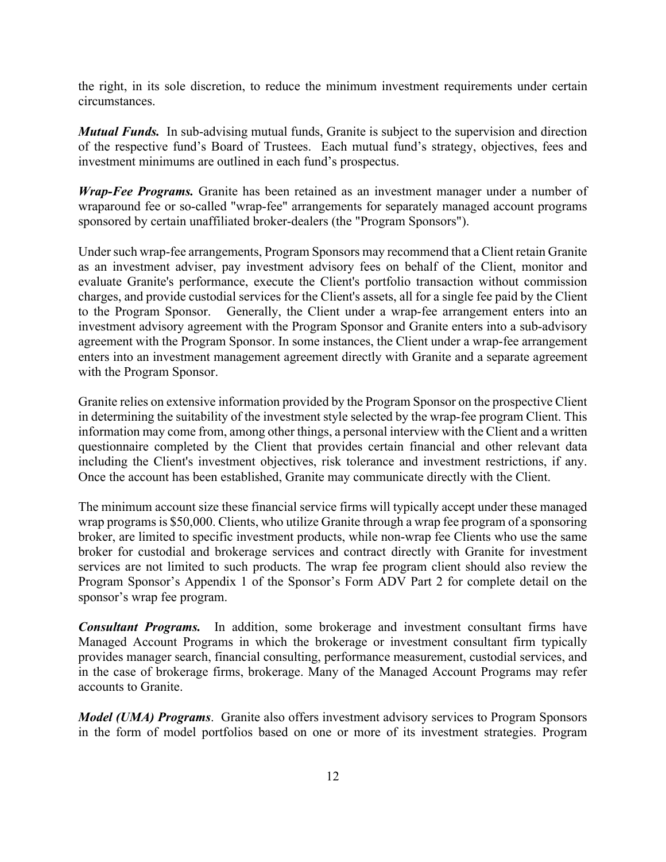the right, in its sole discretion, to reduce the minimum investment requirements under certain circumstances.

*Mutual Funds.* In sub-advising mutual funds, Granite is subject to the supervision and direction of the respective fund's Board of Trustees. Each mutual fund's strategy, objectives, fees and investment minimums are outlined in each fund's prospectus.

*Wrap-Fee Programs.* Granite has been retained as an investment manager under a number of wraparound fee or so-called "wrap-fee" arrangements for separately managed account programs sponsored by certain unaffiliated broker-dealers (the "Program Sponsors").

Under such wrap-fee arrangements, Program Sponsors may recommend that a Client retain Granite as an investment adviser, pay investment advisory fees on behalf of the Client, monitor and evaluate Granite's performance, execute the Client's portfolio transaction without commission charges, and provide custodial services for the Client's assets, all for a single fee paid by the Client to the Program Sponsor. Generally, the Client under a wrap-fee arrangement enters into an investment advisory agreement with the Program Sponsor and Granite enters into a sub-advisory agreement with the Program Sponsor. In some instances, the Client under a wrap-fee arrangement enters into an investment management agreement directly with Granite and a separate agreement with the Program Sponsor.

Granite relies on extensive information provided by the Program Sponsor on the prospective Client in determining the suitability of the investment style selected by the wrap-fee program Client. This information may come from, among other things, a personal interview with the Client and a written questionnaire completed by the Client that provides certain financial and other relevant data including the Client's investment objectives, risk tolerance and investment restrictions, if any. Once the account has been established, Granite may communicate directly with the Client.

The minimum account size these financial service firms will typically accept under these managed wrap programs is \$50,000. Clients, who utilize Granite through a wrap fee program of a sponsoring broker, are limited to specific investment products, while non-wrap fee Clients who use the same broker for custodial and brokerage services and contract directly with Granite for investment services are not limited to such products. The wrap fee program client should also review the Program Sponsor's Appendix 1 of the Sponsor's Form ADV Part 2 for complete detail on the sponsor's wrap fee program.

*Consultant Programs.* In addition, some brokerage and investment consultant firms have Managed Account Programs in which the brokerage or investment consultant firm typically provides manager search, financial consulting, performance measurement, custodial services, and in the case of brokerage firms, brokerage. Many of the Managed Account Programs may refer accounts to Granite.

*Model (UMA) Programs*. Granite also offers investment advisory services to Program Sponsors in the form of model portfolios based on one or more of its investment strategies. Program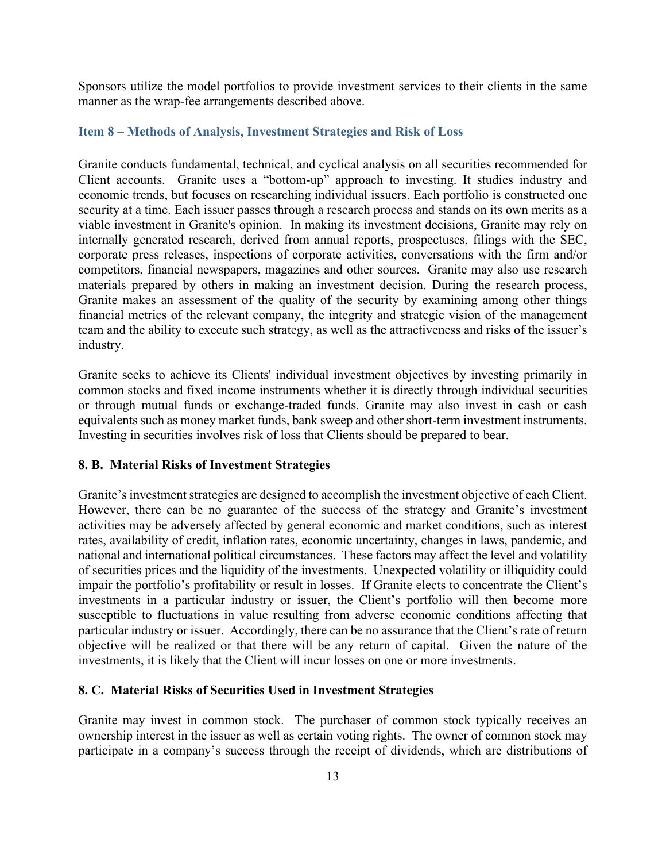Sponsors utilize the model portfolios to provide investment services to their clients in the same manner as the wrap-fee arrangements described above.

#### **Item 8 – Methods of Analysis, Investment Strategies and Risk of Loss**

Granite conducts fundamental, technical, and cyclical analysis on all securities recommended for Client accounts. Granite uses a "bottom-up" approach to investing. It studies industry and economic trends, but focuses on researching individual issuers. Each portfolio is constructed one security at a time. Each issuer passes through a research process and stands on its own merits as a viable investment in Granite's opinion. In making its investment decisions, Granite may rely on internally generated research, derived from annual reports, prospectuses, filings with the SEC, corporate press releases, inspections of corporate activities, conversations with the firm and/or competitors, financial newspapers, magazines and other sources. Granite may also use research materials prepared by others in making an investment decision. During the research process, Granite makes an assessment of the quality of the security by examining among other things financial metrics of the relevant company, the integrity and strategic vision of the management team and the ability to execute such strategy, as well as the attractiveness and risks of the issuer's industry.

Granite seeks to achieve its Clients' individual investment objectives by investing primarily in common stocks and fixed income instruments whether it is directly through individual securities or through mutual funds or exchange-traded funds. Granite may also invest in cash or cash equivalents such as money market funds, bank sweep and other short-term investment instruments. Investing in securities involves risk of loss that Clients should be prepared to bear.

#### **8. B. Material Risks of Investment Strategies**

Granite's investment strategies are designed to accomplish the investment objective of each Client. However, there can be no guarantee of the success of the strategy and Granite's investment activities may be adversely affected by general economic and market conditions, such as interest rates, availability of credit, inflation rates, economic uncertainty, changes in laws, pandemic, and national and international political circumstances. These factors may affect the level and volatility of securities prices and the liquidity of the investments. Unexpected volatility or illiquidity could impair the portfolio's profitability or result in losses. If Granite elects to concentrate the Client's investments in a particular industry or issuer, the Client's portfolio will then become more susceptible to fluctuations in value resulting from adverse economic conditions affecting that particular industry or issuer. Accordingly, there can be no assurance that the Client's rate of return objective will be realized or that there will be any return of capital. Given the nature of the investments, it is likely that the Client will incur losses on one or more investments.

## **8. C. Material Risks of Securities Used in Investment Strategies**

Granite may invest in common stock. The purchaser of common stock typically receives an ownership interest in the issuer as well as certain voting rights. The owner of common stock may participate in a company's success through the receipt of dividends, which are distributions of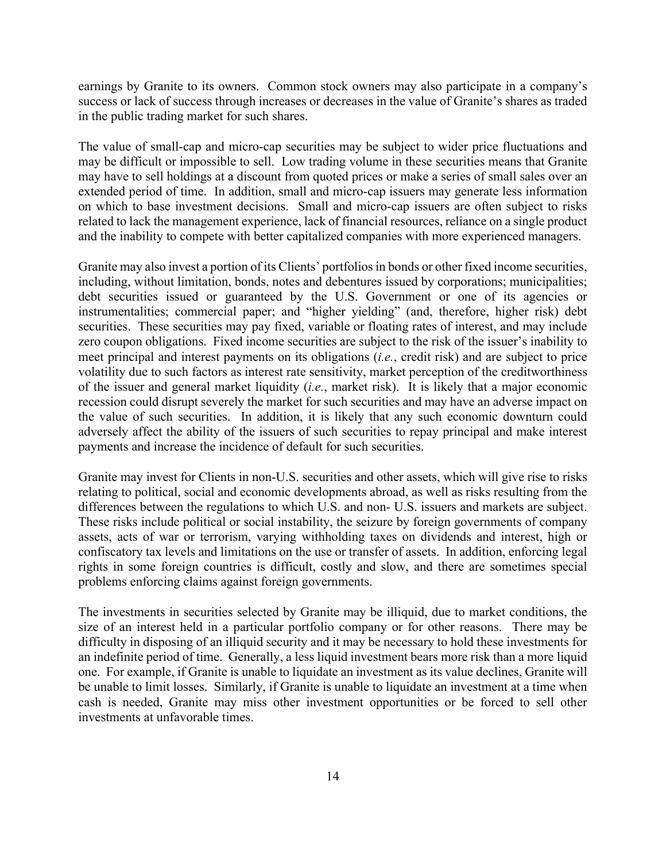earnings by Granite to its owners. Common stock owners may also participate in a company's success or lack of success through increases or decreases in the value of Granite's shares as traded in the public trading market for such shares.

The value of small-cap and micro-cap securities may be subject to wider price fluctuations and may be difficult or impossible to sell. Low trading volume in these securities means that Granite may have to sell holdings at a discount from quoted prices or make a series of small sales over an extended period of time. In addition, small and micro-cap issuers may generate less information on which to base investment decisions. Small and micro-cap issuers are often subject to risks related to lack the management experience, lack of financial resources, reliance on a single product and the inability to compete with better capitalized companies with more experienced managers.

Granite may also invest a portion of its Clients' portfolios in bonds or other fixed income securities, including, without limitation, bonds, notes and debentures issued by corporations; municipalities; debt securities issued or guaranteed by the U.S. Government or one of its agencies or instrumentalities; commercial paper; and "higher yielding" (and, therefore, higher risk) debt securities. These securities may pay fixed, variable or floating rates of interest, and may include zero coupon obligations. Fixed income securities are subject to the risk of the issuer's inability to meet principal and interest payments on its obligations (*i.e.*, credit risk) and are subject to price volatility due to such factors as interest rate sensitivity, market perception of the creditworthiness of the issuer and general market liquidity (*i.e.*, market risk). It is likely that a major economic recession could disrupt severely the market for such securities and may have an adverse impact on the value of such securities. In addition, it is likely that any such economic downturn could adversely affect the ability of the issuers of such securities to repay principal and make interest payments and increase the incidence of default for such securities.

Granite may invest for Clients in non-U.S. securities and other assets, which will give rise to risks relating to political, social and economic developments abroad, as well as risks resulting from the differences between the regulations to which U.S. and non- U.S. issuers and markets are subject. These risks include political or social instability, the seizure by foreign governments of company assets, acts of war or terrorism, varying withholding taxes on dividends and interest, high or confiscatory tax levels and limitations on the use or transfer of assets. In addition, enforcing legal rights in some foreign countries is difficult, costly and slow, and there are sometimes special problems enforcing claims against foreign governments.

The investments in securities selected by Granite may be illiquid, due to market conditions, the size of an interest held in a particular portfolio company or for other reasons. There may be difficulty in disposing of an illiquid security and it may be necessary to hold these investments for an indefinite period of time. Generally, a less liquid investment bears more risk than a more liquid one. For example, if Granite is unable to liquidate an investment as its value declines, Granite will be unable to limit losses. Similarly, if Granite is unable to liquidate an investment at a time when cash is needed, Granite may miss other investment opportunities or be forced to sell other investments at unfavorable times.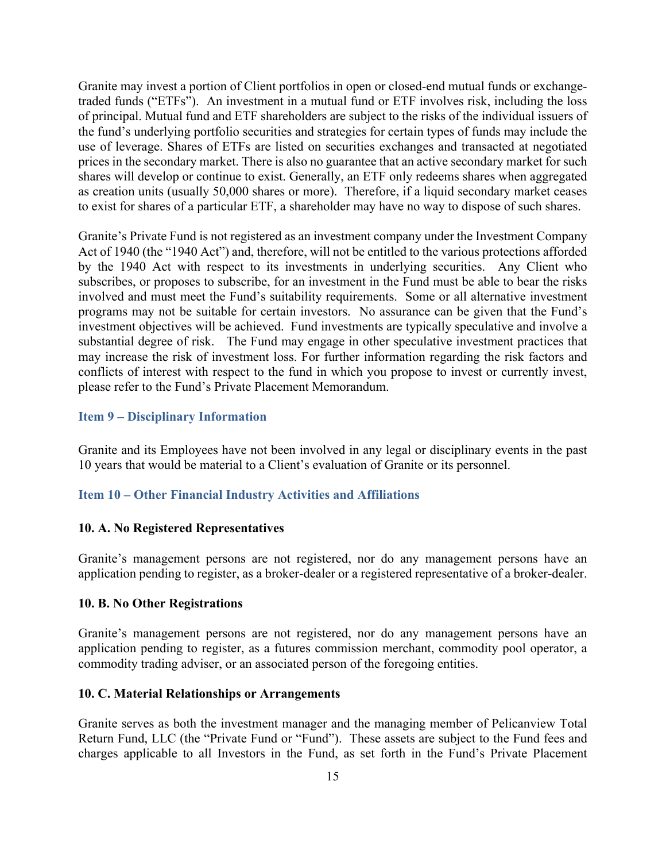Granite may invest a portion of Client portfolios in open or closed-end mutual funds or exchangetraded funds ("ETFs"). An investment in a mutual fund or ETF involves risk, including the loss of principal. Mutual fund and ETF shareholders are subject to the risks of the individual issuers of the fund's underlying portfolio securities and strategies for certain types of funds may include the use of leverage. Shares of ETFs are listed on securities exchanges and transacted at negotiated prices in the secondary market. There is also no guarantee that an active secondary market for such shares will develop or continue to exist. Generally, an ETF only redeems shares when aggregated as creation units (usually 50,000 shares or more). Therefore, if a liquid secondary market ceases to exist for shares of a particular ETF, a shareholder may have no way to dispose of such shares.

Granite's Private Fund is not registered as an investment company under the Investment Company Act of 1940 (the "1940 Act") and, therefore, will not be entitled to the various protections afforded by the 1940 Act with respect to its investments in underlying securities. Any Client who subscribes, or proposes to subscribe, for an investment in the Fund must be able to bear the risks involved and must meet the Fund's suitability requirements. Some or all alternative investment programs may not be suitable for certain investors. No assurance can be given that the Fund's investment objectives will be achieved. Fund investments are typically speculative and involve a substantial degree of risk. The Fund may engage in other speculative investment practices that may increase the risk of investment loss. For further information regarding the risk factors and conflicts of interest with respect to the fund in which you propose to invest or currently invest, please refer to the Fund's Private Placement Memorandum.

#### **Item 9 – Disciplinary Information**

Granite and its Employees have not been involved in any legal or disciplinary events in the past 10 years that would be material to a Client's evaluation of Granite or its personnel.

#### **Item 10 – Other Financial Industry Activities and Affiliations**

#### **10. A. No Registered Representatives**

Granite's management persons are not registered, nor do any management persons have an application pending to register, as a broker-dealer or a registered representative of a broker-dealer.

#### **10. B. No Other Registrations**

Granite's management persons are not registered, nor do any management persons have an application pending to register, as a futures commission merchant, commodity pool operator, a commodity trading adviser, or an associated person of the foregoing entities.

#### **10. C. Material Relationships or Arrangements**

Granite serves as both the investment manager and the managing member of Pelicanview Total Return Fund, LLC (the "Private Fund or "Fund"). These assets are subject to the Fund fees and charges applicable to all Investors in the Fund, as set forth in the Fund's Private Placement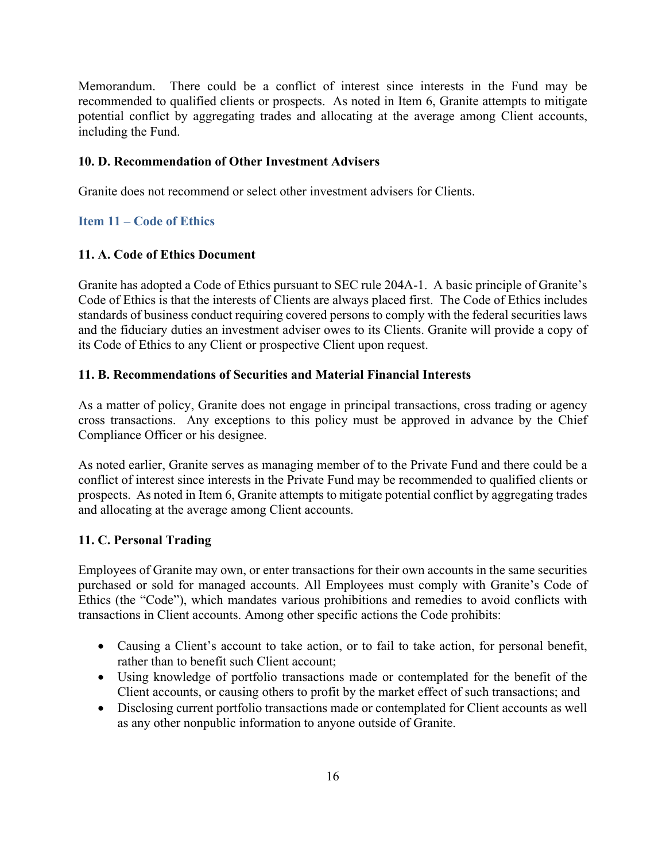Memorandum. There could be a conflict of interest since interests in the Fund may be recommended to qualified clients or prospects. As noted in Item 6, Granite attempts to mitigate potential conflict by aggregating trades and allocating at the average among Client accounts, including the Fund.

## **10. D. Recommendation of Other Investment Advisers**

Granite does not recommend or select other investment advisers for Clients.

# **Item 11 – Code of Ethics**

## **11. A. Code of Ethics Document**

Granite has adopted a Code of Ethics pursuant to SEC rule 204A-1. A basic principle of Granite's Code of Ethics is that the interests of Clients are always placed first. The Code of Ethics includes standards of business conduct requiring covered persons to comply with the federal securities laws and the fiduciary duties an investment adviser owes to its Clients. Granite will provide a copy of its Code of Ethics to any Client or prospective Client upon request.

## **11. B. Recommendations of Securities and Material Financial Interests**

As a matter of policy, Granite does not engage in principal transactions, cross trading or agency cross transactions. Any exceptions to this policy must be approved in advance by the Chief Compliance Officer or his designee.

As noted earlier, Granite serves as managing member of to the Private Fund and there could be a conflict of interest since interests in the Private Fund may be recommended to qualified clients or prospects. As noted in Item 6, Granite attempts to mitigate potential conflict by aggregating trades and allocating at the average among Client accounts.

## **11. C. Personal Trading**

Employees of Granite may own, or enter transactions for their own accounts in the same securities purchased or sold for managed accounts. All Employees must comply with Granite's Code of Ethics (the "Code"), which mandates various prohibitions and remedies to avoid conflicts with transactions in Client accounts. Among other specific actions the Code prohibits:

- Causing a Client's account to take action, or to fail to take action, for personal benefit, rather than to benefit such Client account;
- Using knowledge of portfolio transactions made or contemplated for the benefit of the Client accounts, or causing others to profit by the market effect of such transactions; and
- Disclosing current portfolio transactions made or contemplated for Client accounts as well as any other nonpublic information to anyone outside of Granite.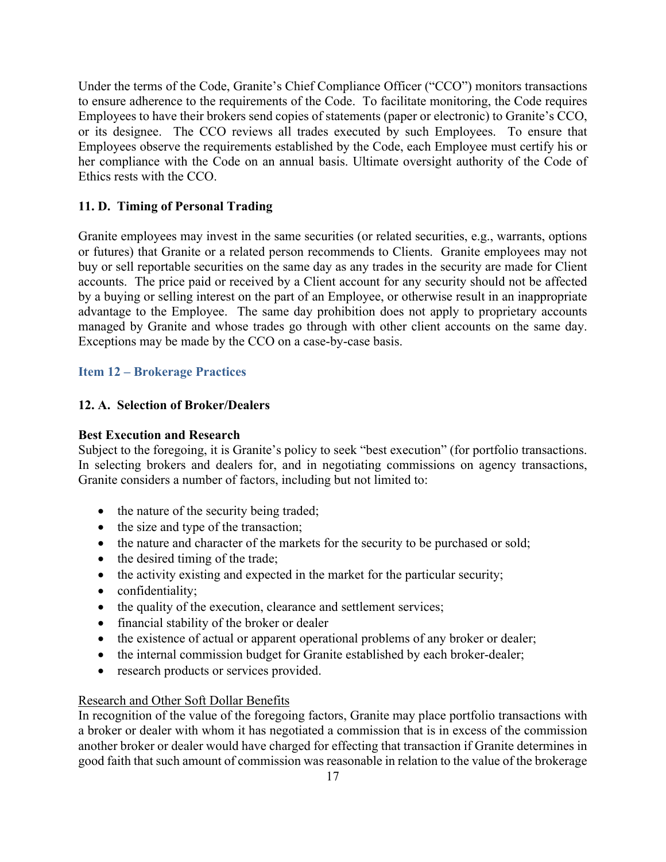Under the terms of the Code, Granite's Chief Compliance Officer ("CCO") monitors transactions to ensure adherence to the requirements of the Code. To facilitate monitoring, the Code requires Employees to have their brokers send copies of statements (paper or electronic) to Granite's CCO, or its designee. The CCO reviews all trades executed by such Employees. To ensure that Employees observe the requirements established by the Code, each Employee must certify his or her compliance with the Code on an annual basis. Ultimate oversight authority of the Code of Ethics rests with the CCO.

# **11. D. Timing of Personal Trading**

Granite employees may invest in the same securities (or related securities, e.g., warrants, options or futures) that Granite or a related person recommends to Clients. Granite employees may not buy or sell reportable securities on the same day as any trades in the security are made for Client accounts. The price paid or received by a Client account for any security should not be affected by a buying or selling interest on the part of an Employee, or otherwise result in an inappropriate advantage to the Employee. The same day prohibition does not apply to proprietary accounts managed by Granite and whose trades go through with other client accounts on the same day. Exceptions may be made by the CCO on a case-by-case basis.

# **Item 12 – Brokerage Practices**

## **12. A. Selection of Broker/Dealers**

## **Best Execution and Research**

Subject to the foregoing, it is Granite's policy to seek "best execution" (for portfolio transactions. In selecting brokers and dealers for, and in negotiating commissions on agency transactions, Granite considers a number of factors, including but not limited to:

- the nature of the security being traded;
- the size and type of the transaction;
- the nature and character of the markets for the security to be purchased or sold;
- the desired timing of the trade;
- $\bullet$  the activity existing and expected in the market for the particular security;
- confidentiality;
- the quality of the execution, clearance and settlement services;
- financial stability of the broker or dealer
- the existence of actual or apparent operational problems of any broker or dealer;
- the internal commission budget for Granite established by each broker-dealer;
- research products or services provided.

## Research and Other Soft Dollar Benefits

In recognition of the value of the foregoing factors, Granite may place portfolio transactions with a broker or dealer with whom it has negotiated a commission that is in excess of the commission another broker or dealer would have charged for effecting that transaction if Granite determines in good faith that such amount of commission was reasonable in relation to the value of the brokerage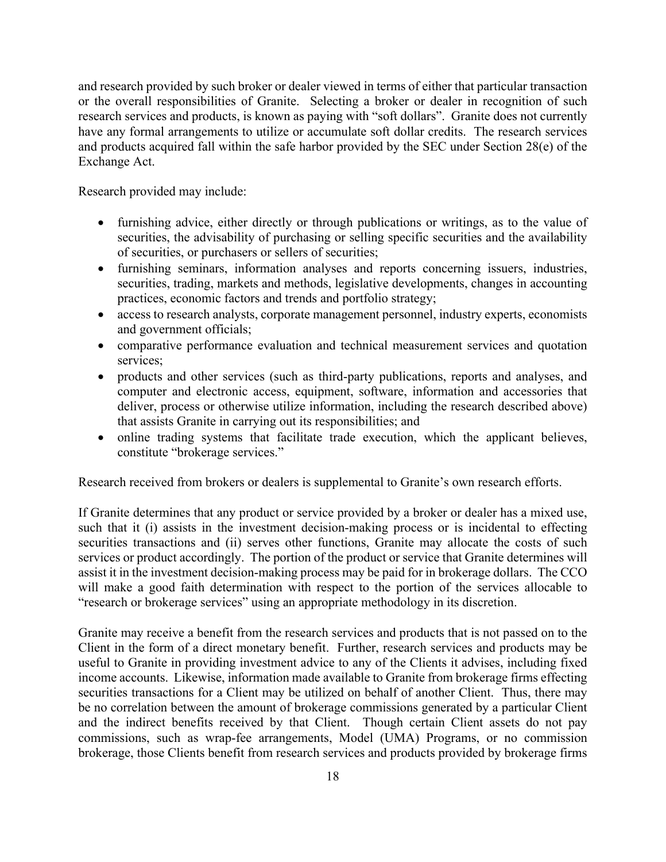and research provided by such broker or dealer viewed in terms of either that particular transaction or the overall responsibilities of Granite. Selecting a broker or dealer in recognition of such research services and products, is known as paying with "soft dollars". Granite does not currently have any formal arrangements to utilize or accumulate soft dollar credits. The research services and products acquired fall within the safe harbor provided by the SEC under Section 28(e) of the Exchange Act.

Research provided may include:

- furnishing advice, either directly or through publications or writings, as to the value of securities, the advisability of purchasing or selling specific securities and the availability of securities, or purchasers or sellers of securities;
- furnishing seminars, information analyses and reports concerning issuers, industries, securities, trading, markets and methods, legislative developments, changes in accounting practices, economic factors and trends and portfolio strategy;
- access to research analysts, corporate management personnel, industry experts, economists and government officials;
- comparative performance evaluation and technical measurement services and quotation services;
- products and other services (such as third-party publications, reports and analyses, and computer and electronic access, equipment, software, information and accessories that deliver, process or otherwise utilize information, including the research described above) that assists Granite in carrying out its responsibilities; and
- online trading systems that facilitate trade execution, which the applicant believes, constitute "brokerage services."

Research received from brokers or dealers is supplemental to Granite's own research efforts.

If Granite determines that any product or service provided by a broker or dealer has a mixed use, such that it (i) assists in the investment decision-making process or is incidental to effecting securities transactions and (ii) serves other functions, Granite may allocate the costs of such services or product accordingly. The portion of the product or service that Granite determines will assist it in the investment decision-making process may be paid for in brokerage dollars. The CCO will make a good faith determination with respect to the portion of the services allocable to "research or brokerage services" using an appropriate methodology in its discretion.

Granite may receive a benefit from the research services and products that is not passed on to the Client in the form of a direct monetary benefit. Further, research services and products may be useful to Granite in providing investment advice to any of the Clients it advises, including fixed income accounts. Likewise, information made available to Granite from brokerage firms effecting securities transactions for a Client may be utilized on behalf of another Client. Thus, there may be no correlation between the amount of brokerage commissions generated by a particular Client and the indirect benefits received by that Client. Though certain Client assets do not pay commissions, such as wrap-fee arrangements, Model (UMA) Programs, or no commission brokerage, those Clients benefit from research services and products provided by brokerage firms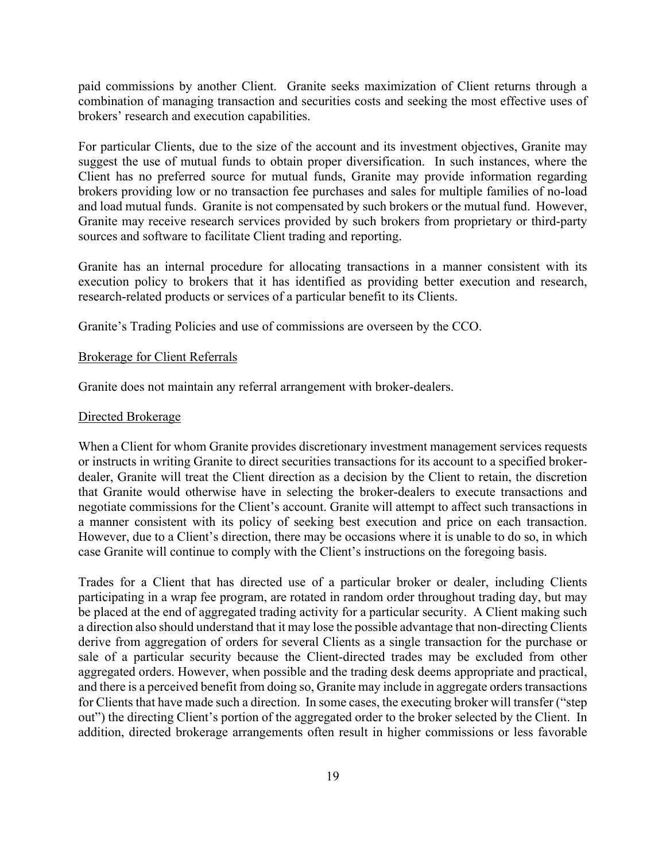paid commissions by another Client. Granite seeks maximization of Client returns through a combination of managing transaction and securities costs and seeking the most effective uses of brokers' research and execution capabilities.

For particular Clients, due to the size of the account and its investment objectives, Granite may suggest the use of mutual funds to obtain proper diversification. In such instances, where the Client has no preferred source for mutual funds, Granite may provide information regarding brokers providing low or no transaction fee purchases and sales for multiple families of no-load and load mutual funds. Granite is not compensated by such brokers or the mutual fund. However, Granite may receive research services provided by such brokers from proprietary or third-party sources and software to facilitate Client trading and reporting.

Granite has an internal procedure for allocating transactions in a manner consistent with its execution policy to brokers that it has identified as providing better execution and research, research-related products or services of a particular benefit to its Clients.

Granite's Trading Policies and use of commissions are overseen by the CCO.

#### Brokerage for Client Referrals

Granite does not maintain any referral arrangement with broker-dealers.

#### Directed Brokerage

When a Client for whom Granite provides discretionary investment management services requests or instructs in writing Granite to direct securities transactions for its account to a specified brokerdealer, Granite will treat the Client direction as a decision by the Client to retain, the discretion that Granite would otherwise have in selecting the broker-dealers to execute transactions and negotiate commissions for the Client's account. Granite will attempt to affect such transactions in a manner consistent with its policy of seeking best execution and price on each transaction. However, due to a Client's direction, there may be occasions where it is unable to do so, in which case Granite will continue to comply with the Client's instructions on the foregoing basis.

Trades for a Client that has directed use of a particular broker or dealer, including Clients participating in a wrap fee program, are rotated in random order throughout trading day, but may be placed at the end of aggregated trading activity for a particular security. A Client making such a direction also should understand that it may lose the possible advantage that non-directing Clients derive from aggregation of orders for several Clients as a single transaction for the purchase or sale of a particular security because the Client-directed trades may be excluded from other aggregated orders. However, when possible and the trading desk deems appropriate and practical, and there is a perceived benefit from doing so, Granite may include in aggregate orders transactions for Clients that have made such a direction. In some cases, the executing broker will transfer ("step out") the directing Client's portion of the aggregated order to the broker selected by the Client. In addition, directed brokerage arrangements often result in higher commissions or less favorable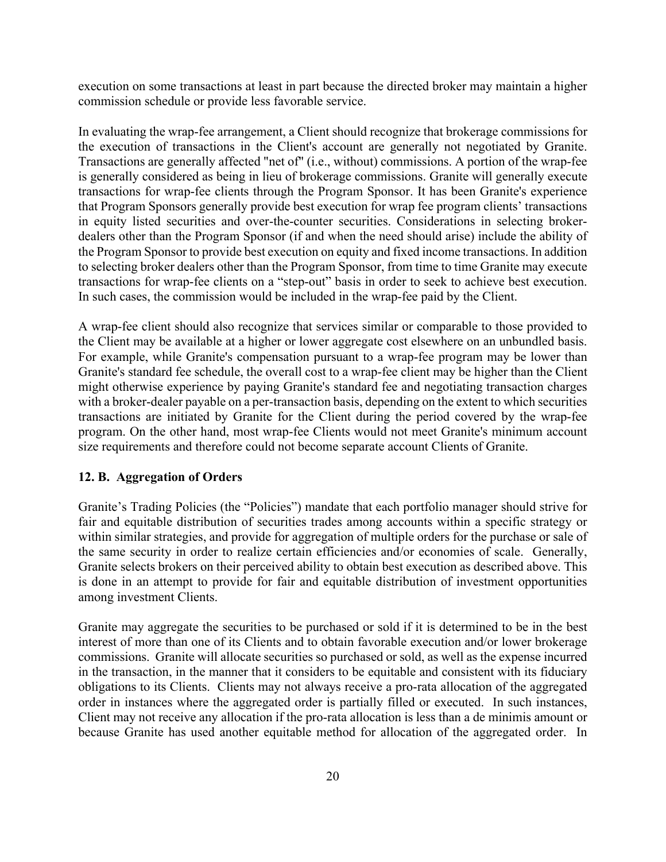execution on some transactions at least in part because the directed broker may maintain a higher commission schedule or provide less favorable service.

In evaluating the wrap-fee arrangement, a Client should recognize that brokerage commissions for the execution of transactions in the Client's account are generally not negotiated by Granite. Transactions are generally affected "net of" (i.e., without) commissions. A portion of the wrap-fee is generally considered as being in lieu of brokerage commissions. Granite will generally execute transactions for wrap-fee clients through the Program Sponsor. It has been Granite's experience that Program Sponsors generally provide best execution for wrap fee program clients' transactions in equity listed securities and over-the-counter securities. Considerations in selecting brokerdealers other than the Program Sponsor (if and when the need should arise) include the ability of the Program Sponsor to provide best execution on equity and fixed income transactions. In addition to selecting broker dealers other than the Program Sponsor, from time to time Granite may execute transactions for wrap-fee clients on a "step-out" basis in order to seek to achieve best execution. In such cases, the commission would be included in the wrap-fee paid by the Client.

A wrap-fee client should also recognize that services similar or comparable to those provided to the Client may be available at a higher or lower aggregate cost elsewhere on an unbundled basis. For example, while Granite's compensation pursuant to a wrap-fee program may be lower than Granite's standard fee schedule, the overall cost to a wrap-fee client may be higher than the Client might otherwise experience by paying Granite's standard fee and negotiating transaction charges with a broker-dealer payable on a per-transaction basis, depending on the extent to which securities transactions are initiated by Granite for the Client during the period covered by the wrap-fee program. On the other hand, most wrap-fee Clients would not meet Granite's minimum account size requirements and therefore could not become separate account Clients of Granite.

#### **12. B. Aggregation of Orders**

Granite's Trading Policies (the "Policies") mandate that each portfolio manager should strive for fair and equitable distribution of securities trades among accounts within a specific strategy or within similar strategies, and provide for aggregation of multiple orders for the purchase or sale of the same security in order to realize certain efficiencies and/or economies of scale. Generally, Granite selects brokers on their perceived ability to obtain best execution as described above. This is done in an attempt to provide for fair and equitable distribution of investment opportunities among investment Clients.

Granite may aggregate the securities to be purchased or sold if it is determined to be in the best interest of more than one of its Clients and to obtain favorable execution and/or lower brokerage commissions. Granite will allocate securities so purchased or sold, as well as the expense incurred in the transaction, in the manner that it considers to be equitable and consistent with its fiduciary obligations to its Clients. Clients may not always receive a pro-rata allocation of the aggregated order in instances where the aggregated order is partially filled or executed. In such instances, Client may not receive any allocation if the pro-rata allocation is less than a de minimis amount or because Granite has used another equitable method for allocation of the aggregated order. In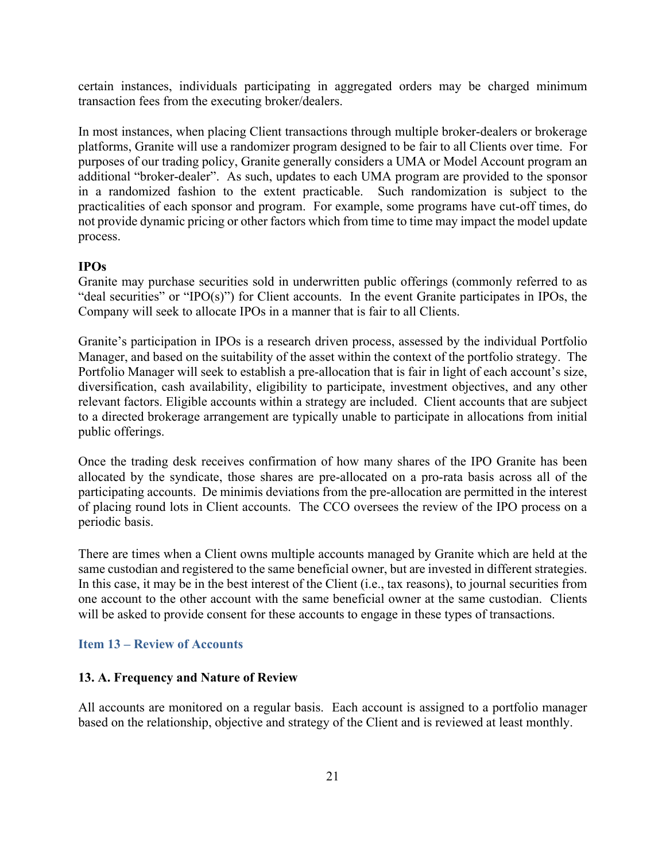certain instances, individuals participating in aggregated orders may be charged minimum transaction fees from the executing broker/dealers.

In most instances, when placing Client transactions through multiple broker-dealers or brokerage platforms, Granite will use a randomizer program designed to be fair to all Clients over time. For purposes of our trading policy, Granite generally considers a UMA or Model Account program an additional "broker-dealer". As such, updates to each UMA program are provided to the sponsor in a randomized fashion to the extent practicable. Such randomization is subject to the practicalities of each sponsor and program. For example, some programs have cut-off times, do not provide dynamic pricing or other factors which from time to time may impact the model update process.

#### **IPOs**

Granite may purchase securities sold in underwritten public offerings (commonly referred to as "deal securities" or "IPO(s)") for Client accounts. In the event Granite participates in IPOs, the Company will seek to allocate IPOs in a manner that is fair to all Clients.

Granite's participation in IPOs is a research driven process, assessed by the individual Portfolio Manager, and based on the suitability of the asset within the context of the portfolio strategy. The Portfolio Manager will seek to establish a pre-allocation that is fair in light of each account's size, diversification, cash availability, eligibility to participate, investment objectives, and any other relevant factors. Eligible accounts within a strategy are included. Client accounts that are subject to a directed brokerage arrangement are typically unable to participate in allocations from initial public offerings.

Once the trading desk receives confirmation of how many shares of the IPO Granite has been allocated by the syndicate, those shares are pre-allocated on a pro-rata basis across all of the participating accounts. De minimis deviations from the pre-allocation are permitted in the interest of placing round lots in Client accounts. The CCO oversees the review of the IPO process on a periodic basis.

There are times when a Client owns multiple accounts managed by Granite which are held at the same custodian and registered to the same beneficial owner, but are invested in different strategies. In this case, it may be in the best interest of the Client (i.e., tax reasons), to journal securities from one account to the other account with the same beneficial owner at the same custodian. Clients will be asked to provide consent for these accounts to engage in these types of transactions.

#### **Item 13 – Review of Accounts**

#### **13. A. Frequency and Nature of Review**

All accounts are monitored on a regular basis. Each account is assigned to a portfolio manager based on the relationship, objective and strategy of the Client and is reviewed at least monthly.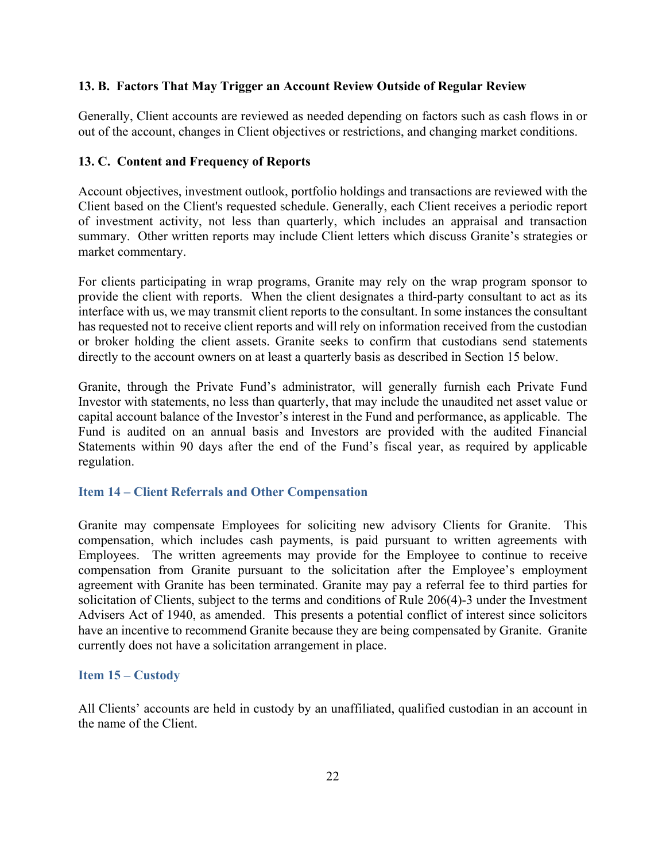## **13. B. Factors That May Trigger an Account Review Outside of Regular Review**

Generally, Client accounts are reviewed as needed depending on factors such as cash flows in or out of the account, changes in Client objectives or restrictions, and changing market conditions.

## **13. C. Content and Frequency of Reports**

Account objectives, investment outlook, portfolio holdings and transactions are reviewed with the Client based on the Client's requested schedule. Generally, each Client receives a periodic report of investment activity, not less than quarterly, which includes an appraisal and transaction summary. Other written reports may include Client letters which discuss Granite's strategies or market commentary.

For clients participating in wrap programs, Granite may rely on the wrap program sponsor to provide the client with reports. When the client designates a third-party consultant to act as its interface with us, we may transmit client reports to the consultant. In some instances the consultant has requested not to receive client reports and will rely on information received from the custodian or broker holding the client assets. Granite seeks to confirm that custodians send statements directly to the account owners on at least a quarterly basis as described in Section 15 below.

Granite, through the Private Fund's administrator, will generally furnish each Private Fund Investor with statements, no less than quarterly, that may include the unaudited net asset value or capital account balance of the Investor's interest in the Fund and performance, as applicable. The Fund is audited on an annual basis and Investors are provided with the audited Financial Statements within 90 days after the end of the Fund's fiscal year, as required by applicable regulation.

## **Item 14 – Client Referrals and Other Compensation**

Granite may compensate Employees for soliciting new advisory Clients for Granite. This compensation, which includes cash payments, is paid pursuant to written agreements with Employees. The written agreements may provide for the Employee to continue to receive compensation from Granite pursuant to the solicitation after the Employee's employment agreement with Granite has been terminated. Granite may pay a referral fee to third parties for solicitation of Clients, subject to the terms and conditions of Rule 206(4)-3 under the Investment Advisers Act of 1940, as amended. This presents a potential conflict of interest since solicitors have an incentive to recommend Granite because they are being compensated by Granite. Granite currently does not have a solicitation arrangement in place.

#### **Item 15 – Custody**

All Clients' accounts are held in custody by an unaffiliated, qualified custodian in an account in the name of the Client.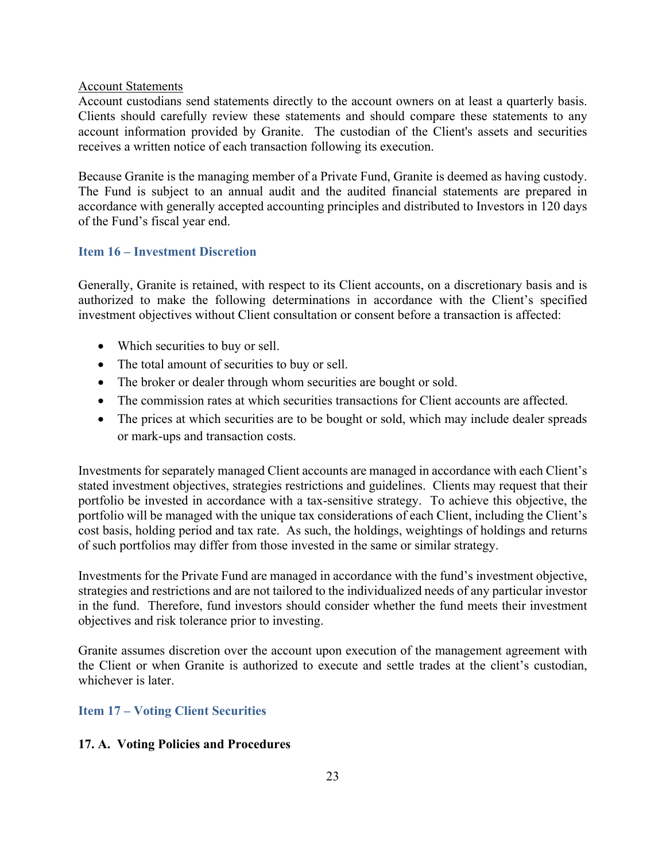## Account Statements

Account custodians send statements directly to the account owners on at least a quarterly basis. Clients should carefully review these statements and should compare these statements to any account information provided by Granite. The custodian of the Client's assets and securities receives a written notice of each transaction following its execution.

Because Granite is the managing member of a Private Fund, Granite is deemed as having custody. The Fund is subject to an annual audit and the audited financial statements are prepared in accordance with generally accepted accounting principles and distributed to Investors in 120 days of the Fund's fiscal year end.

## **Item 16 – Investment Discretion**

Generally, Granite is retained, with respect to its Client accounts, on a discretionary basis and is authorized to make the following determinations in accordance with the Client's specified investment objectives without Client consultation or consent before a transaction is affected:

- Which securities to buy or sell.
- The total amount of securities to buy or sell.
- The broker or dealer through whom securities are bought or sold.
- The commission rates at which securities transactions for Client accounts are affected.
- The prices at which securities are to be bought or sold, which may include dealer spreads or mark-ups and transaction costs.

Investments for separately managed Client accounts are managed in accordance with each Client's stated investment objectives, strategies restrictions and guidelines. Clients may request that their portfolio be invested in accordance with a tax-sensitive strategy. To achieve this objective, the portfolio will be managed with the unique tax considerations of each Client, including the Client's cost basis, holding period and tax rate. As such, the holdings, weightings of holdings and returns of such portfolios may differ from those invested in the same or similar strategy.

Investments for the Private Fund are managed in accordance with the fund's investment objective, strategies and restrictions and are not tailored to the individualized needs of any particular investor in the fund. Therefore, fund investors should consider whether the fund meets their investment objectives and risk tolerance prior to investing.

Granite assumes discretion over the account upon execution of the management agreement with the Client or when Granite is authorized to execute and settle trades at the client's custodian, whichever is later.

# **Item 17 – Voting Client Securities**

## **17. A. Voting Policies and Procedures**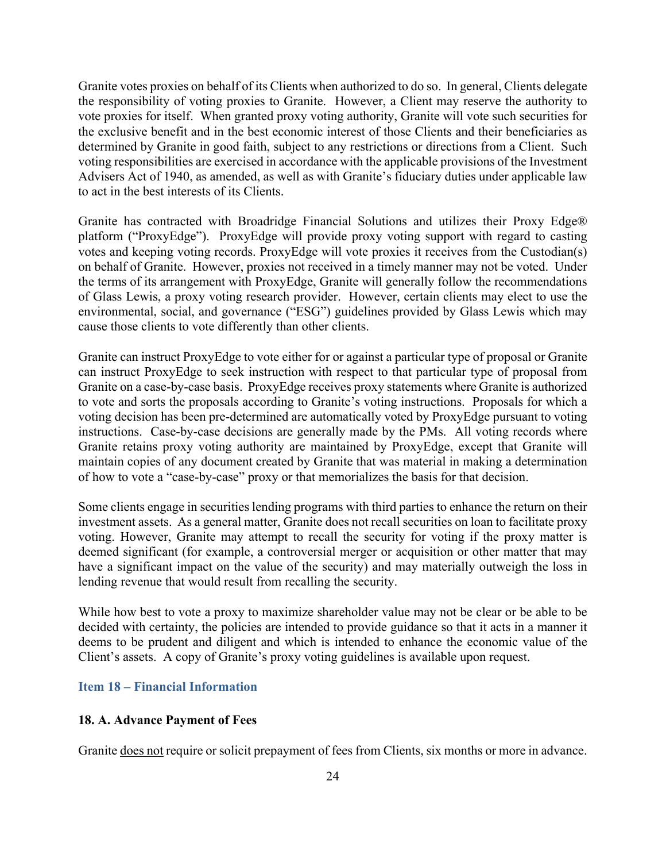Granite votes proxies on behalf of its Clients when authorized to do so. In general, Clients delegate the responsibility of voting proxies to Granite. However, a Client may reserve the authority to vote proxies for itself. When granted proxy voting authority, Granite will vote such securities for the exclusive benefit and in the best economic interest of those Clients and their beneficiaries as determined by Granite in good faith, subject to any restrictions or directions from a Client. Such voting responsibilities are exercised in accordance with the applicable provisions of the Investment Advisers Act of 1940, as amended, as well as with Granite's fiduciary duties under applicable law to act in the best interests of its Clients.

Granite has contracted with Broadridge Financial Solutions and utilizes their Proxy Edge® platform ("ProxyEdge"). ProxyEdge will provide proxy voting support with regard to casting votes and keeping voting records. ProxyEdge will vote proxies it receives from the Custodian(s) on behalf of Granite. However, proxies not received in a timely manner may not be voted. Under the terms of its arrangement with ProxyEdge, Granite will generally follow the recommendations of Glass Lewis, a proxy voting research provider. However, certain clients may elect to use the environmental, social, and governance ("ESG") guidelines provided by Glass Lewis which may cause those clients to vote differently than other clients.

Granite can instruct ProxyEdge to vote either for or against a particular type of proposal or Granite can instruct ProxyEdge to seek instruction with respect to that particular type of proposal from Granite on a case-by-case basis. ProxyEdge receives proxy statements where Granite is authorized to vote and sorts the proposals according to Granite's voting instructions. Proposals for which a voting decision has been pre-determined are automatically voted by ProxyEdge pursuant to voting instructions. Case-by-case decisions are generally made by the PMs. All voting records where Granite retains proxy voting authority are maintained by ProxyEdge, except that Granite will maintain copies of any document created by Granite that was material in making a determination of how to vote a "case-by-case" proxy or that memorializes the basis for that decision.

Some clients engage in securities lending programs with third parties to enhance the return on their investment assets. As a general matter, Granite does not recall securities on loan to facilitate proxy voting. However, Granite may attempt to recall the security for voting if the proxy matter is deemed significant (for example, a controversial merger or acquisition or other matter that may have a significant impact on the value of the security) and may materially outweigh the loss in lending revenue that would result from recalling the security.

While how best to vote a proxy to maximize shareholder value may not be clear or be able to be decided with certainty, the policies are intended to provide guidance so that it acts in a manner it deems to be prudent and diligent and which is intended to enhance the economic value of the Client's assets. A copy of Granite's proxy voting guidelines is available upon request.

#### **Item 18 – Financial Information**

#### **18. A. Advance Payment of Fees**

Granite does not require or solicit prepayment of fees from Clients, six months or more in advance.